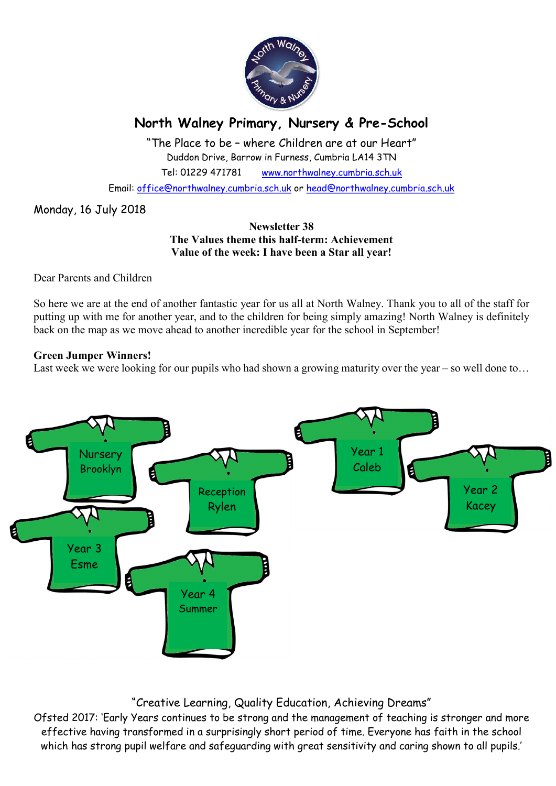

## North Walney Primary, Nursery & Pre-School

"The Place to be – where Children are at our Heart" Duddon Drive, Barrow in Furness, Cumbria LA14 3TN Tel: 01229 471781 www.northwalney.cumbria.sch.uk

Email: office@northwalney.cumbria.sch.uk or head@northwalney.cumbria.sch.uk

Monday, 16 July 2018

### Newsletter 38 The Values theme this half-term: Achievement Value of the week: I have been a Star all year!

Dear Parents and Children

So here we are at the end of another fantastic year for us all at North Walney. Thank you to all of the staff for putting up with me for another year, and to the children for being simply amazing! North Walney is definitely back on the map as we move ahead to another incredible year for the school in September!

### Green Jumper Winners!

Last week we were looking for our pupils who had shown a growing maturity over the year – so well done to...



"Creative Learning, Quality Education, Achieving Dreams"

Ofsted 2017: 'Early Years continues to be strong and the management of teaching is stronger and more effective having transformed in a surprisingly short period of time. Everyone has faith in the school which has strong pupil welfare and safeguarding with great sensitivity and caring shown to all pupils.'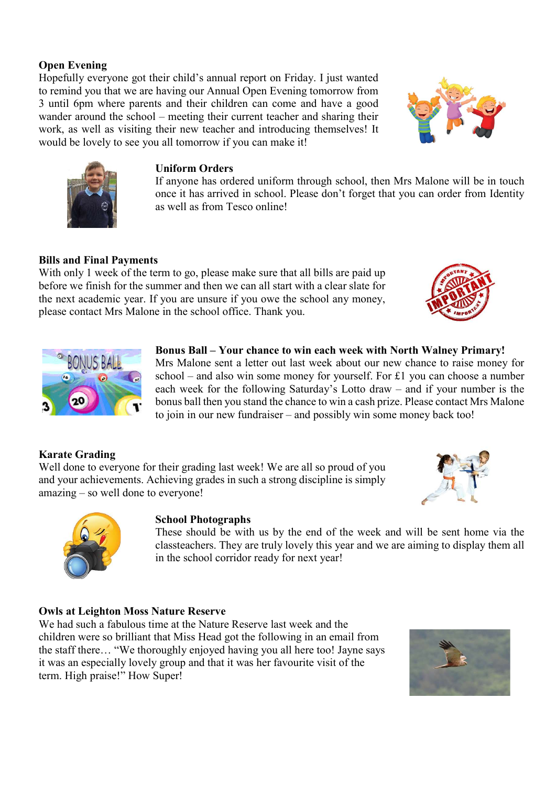### Open Evening

Hopefully everyone got their child's annual report on Friday. I just wanted to remind you that we are having our Annual Open Evening tomorrow from 3 until 6pm where parents and their children can come and have a good wander around the school – meeting their current teacher and sharing their work, as well as visiting their new teacher and introducing themselves! It would be lovely to see you all tomorrow if you can make it!





### Uniform Orders

If anyone has ordered uniform through school, then Mrs Malone will be in touch once it has arrived in school. Please don't forget that you can order from Identity as well as from Tesco online!

Bonus Ball – Your chance to win each week with North Walney Primary! Mrs Malone sent a letter out last week about our new chance to raise money for school – and also win some money for yourself. For £1 you can choose a number each week for the following Saturday's Lotto draw – and if your number is the bonus ball then you stand the chance to win a cash prize. Please contact Mrs Malone

to join in our new fundraiser – and possibly win some money back too!

### Bills and Final Payments

With only 1 week of the term to go, please make sure that all bills are paid up before we finish for the summer and then we can all start with a clear slate for the next academic year. If you are unsure if you owe the school any money, please contact Mrs Malone in the school office. Thank you.





# Karate Grading

Well done to everyone for their grading last week! We are all so proud of you and your achievements. Achieving grades in such a strong discipline is simply amazing – so well done to everyone!





### School Photographs

These should be with us by the end of the week and will be sent home via the classteachers. They are truly lovely this year and we are aiming to display them all in the school corridor ready for next year!

### Owls at Leighton Moss Nature Reserve

We had such a fabulous time at the Nature Reserve last week and the children were so brilliant that Miss Head got the following in an email from the staff there… "We thoroughly enjoyed having you all here too! Jayne says it was an especially lovely group and that it was her favourite visit of the term. High praise!" How Super!